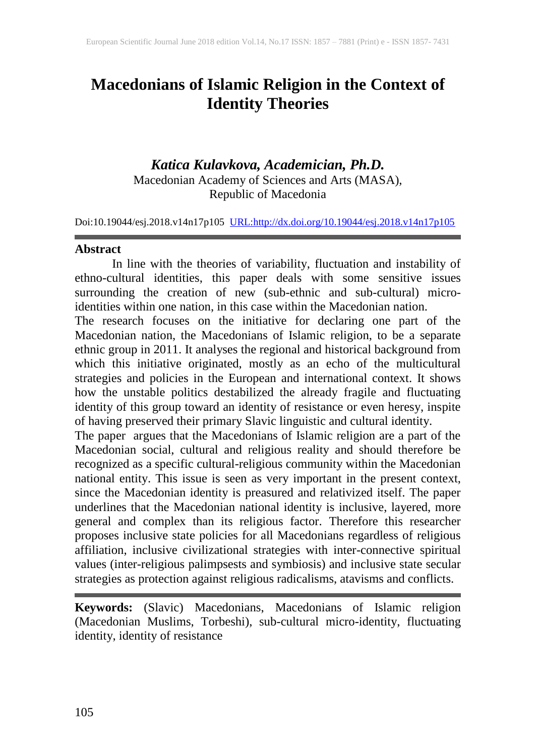# **Macedonians of Islamic Religion in the Context of Identity Theories**

# *Katica Kulavkova, Academician, Ph.D.*

Macedonian Academy of Sciences and Arts (MASA), Republic of Macedonia

Doi:10.19044/esj.2018.v14n17p105 [URL:http://dx.doi.org/10.19044/esj.2018.v14n17p105](http://dx.doi.org/10.19044/esj.2018.v14n17p105)

#### **Abstract**

In line with the theories of variability, fluctuation and instability of ethno-cultural identities, this paper deals with some sensitive issues surrounding the creation of new (sub-ethnic and sub-cultural) microidentities within one nation, in this case within the Macedonian nation.

The research focuses on the initiative for declaring one part of the Macedonian nation, the Macedonians of Islamic religion, to be a separate ethnic group in 2011. It analyses the regional and historical background from which this initiative originated, mostly as an echo of the multicultural strategies and policies in the European and international context. It shows how the unstable politics destabilized the already fragile and fluctuating identity of this group toward an identity of resistance or even heresy, inspite of having preserved their primary Slavic linguistic and cultural identity.

The paper argues that the Macedonians of Islamic religion are a part of the Macedonian social, cultural and religious reality and should therefore be recognized as a specific cultural-religious community within the Macedonian national entity. This issue is seen as very important in the present context, since the Macedonian identity is preasured and relativized itself. The paper underlines that the Macedonian national identity is inclusive, layered, more general and complex than its religious factor. Therefore this researcher proposes inclusive state policies for all Macedonians regardless of religious affiliation, inclusive civilizational strategies with inter-connective spiritual values (inter-religious palimpsests and symbiosis) and inclusive state secular strategies as protection against religious radicalisms, atavisms and conflicts.

**Keywords:** (Slavic) Macedonians, Macedonians of Islamic religion (Macedonian Muslims, Torbeshi), sub-cultural micro-identity, fluctuating identity, identity of resistance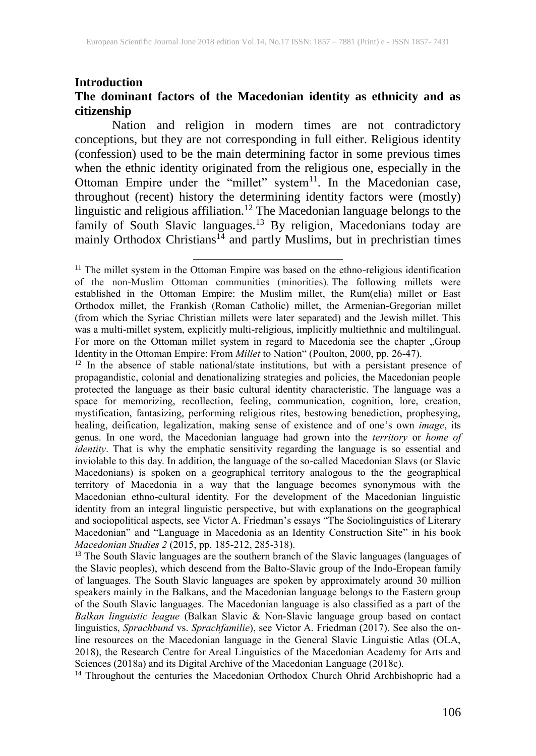#### **Introduction**

### **The dominant factors of the Macedonian identity as ethnicity and as citizenship**

Nation and religion in modern times are not contradictory conceptions, but they are not corresponding in full either. Religious identity (confession) used to be the main determining factor in some previous times when the ethnic identity originated from the religious one, especially in the Ottoman Empire under the "millet" system $<sup>11</sup>$ . In the Macedonian case,</sup> throughout (recent) history the determining identity factors were (mostly) linguistic and religious affiliation.<sup>12</sup> The Macedonian language belongs to the family of South Slavic languages.<sup>13</sup> By religion, Macedonians today are mainly Orthodox Christians<sup>14</sup> and partly Muslims, but in prechristian times

 $\overline{a}$ 

<sup>14</sup> Throughout the centuries the Macedonian Orthodox Church Ohrid Archbishopric had a

 $11$  The millet system in the Ottoman Empire was based on the ethno-religious identification of the non-Muslim Ottoman communities (minorities). The following millets were established in the Ottoman Empire: the Muslim millet, the Rum(elia) millet or East Orthodox millet, the Frankish (Roman Catholic) millet, the Armenian-Gregorian millet (from which the Syriac Christian millets were later separated) and the Jewish millet. This was a multi-millet system, explicitly multi-religious, implicitly multiethnic and multilingual. For more on the Ottoman millet system in regard to Macedonia see the chapter "Group Identity in the Ottoman Empire: From *Millet* to Nation" (Poulton, 2000, pp. 26-47).

 $12$  In the absence of stable national/state institutions, but with a persistant presence of propagandistic, colonial and denationalizing strategies and policies, the Macedonian people protected the language as their basic cultural identity characteristic. The language was a space for memorizing, recollection, feeling, communication, cognition, lore, creation, mystification, fantasizing, performing religious rites, bestowing benediction, prophesying, healing, deification, legalization, making sense of existence and of one's own *image*, its genus. In one word, the Macedonian language had grown into the *territory* or *home of identity*. That is why the emphatic sensitivity regarding the language is so essential and inviolable to this day. In addition, the language of the so-called Macedonian Slavs (or Slavic Macedonians) is spoken on a geographical territory analogous to the the geographical territory of Macedonia in a way that the language becomes synonymous with the Macedonian ethno-cultural identity. For the development of the Macedonian linguistic identity from an integral linguistic perspective, but with explanations on the geographical and sociopolitical aspects, see Victor A. Friedman's essays "The Sociolinguistics of Literary Macedonian" and "Language in Macedonia as an Identity Construction Site" in his book *Macedonian Studies 2* (2015, pp. 185-212, 285-318).

<sup>&</sup>lt;sup>13</sup> The South Slavic languages are the southern branch of the Slavic languages (languages of the Slavic peoples), which descend from the Balto-Slavic group of the Indo-Eropean family of languages. The South Slavic languages are spoken by approximately around 30 million speakers mainly in the Balkans, and the Macedonian language belongs to the Eastern group of the South Slavic languages. The Macedonian language is also classified as a part of the *Balkan linguistic league* (Balkan Slavic & Non-Slavic language group based on contact linguistics, *Sprachbund* vs. *Sprachfamilie*), see Victor A. Friedman (2017). See also the online resources on the Macedonian language in the General Slavic Linguistic Atlas (OLA, 2018), the Research Centre for Areal Linguistics of the Macedonian Academy for Arts and Sciences (2018a) and its Digital Archive of the Macedonian Language (2018c).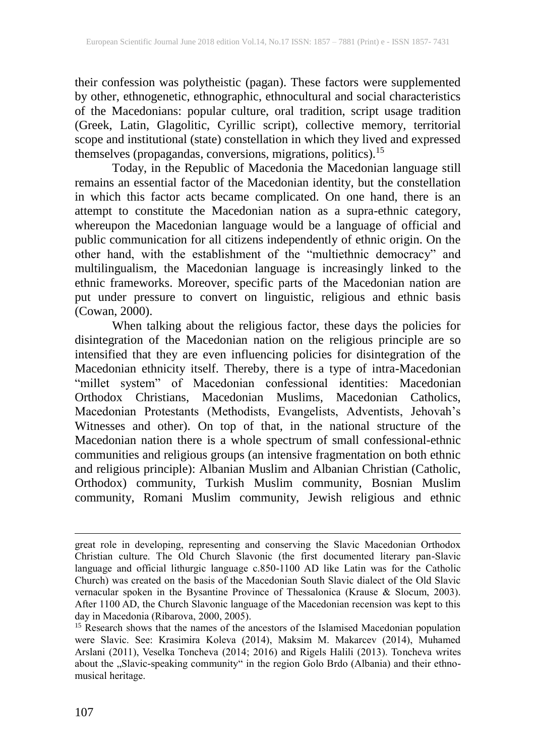their confession was polytheistic (pagan). These factors were supplemented by other, ethnogenetic, ethnographic, ethnocultural and social characteristics of the Macedonians: popular culture, oral tradition, script usage tradition (Greek, Latin, Glagolitic, Cyrillic script), collective memory, territorial scope and institutional (state) constellation in which they lived and expressed themselves (propagandas, conversions, migrations, politics).<sup>15</sup>

Today, in the Republic of Macedonia the Macedonian language still remains an essential factor of the Macedonian identity, but the constellation in which this factor acts became complicated. On one hand, there is an attempt to constitute the Macedonian nation as a supra-ethnic category, whereupon the Macedonian language would be a language of official and public communication for all citizens independently of ethnic origin. On the other hand, with the establishment of the "multiethnic democracy" and multilingualism, the Macedonian language is increasingly linked to the ethnic frameworks. Moreover, specific parts of the Macedonian nation are put under pressure to convert on linguistic, religious and ethnic basis (Cowan, 2000).

When talking about the religious factor, these days the policies for disintegration of the Macedonian nation on the religious principle are so intensified that they are even influencing policies for disintegration of the Macedonian ethnicity itself. Thereby, there is a type of intra-Macedonian "millet system" of Macedonian confessional identities: Macedonian Orthodox Christians, Macedonian Muslims, Macedonian Catholics, Macedonian Protestants (Methodists, Evangelists, Adventists, Jehovah's Witnesses and other). On top of that, in the national structure of the Macedonian nation there is a whole spectrum of small confessional-ethnic communities and religious groups (an intensive fragmentation on both ethnic and religious principle): Albanian Muslim and Albanian Christian (Catholic, Orthodox) community, Turkish Muslim community, Bosnian Muslim community, Romani Muslim community, Jewish religious and ethnic

great role in developing, representing and conserving the Slavic Macedonian Orthodox Christian culture. The Old Church Slavonic (the first documented literary pan-Slavic language and official lithurgic language c.850-1100 AD like Latin was for the Catholic Church) was created on the basis of the Macedonian South Slavic dialect of the Old Slavic vernacular spoken in the Bysantine Province of Thessalonica (Krause & Slocum, 2003). After 1100 AD, the Church Slavonic language of the Macedonian recension was kept to this day in Macedonia (Ribarova, 2000, 2005).

 $15$  Research shows that the names of the ancestors of the Islamised Macedonian population were Slavic. See: Krasimira Koleva (2014), Maksim M. Makarcev (2014), Muhamed Arslani (2011), Veselka Toncheva (2014; 2016) and Rigels Halili (2013). Toncheva writes about the "Slavic-speaking community" in the region Golo Brdo (Albania) and their ethnomusical heritage.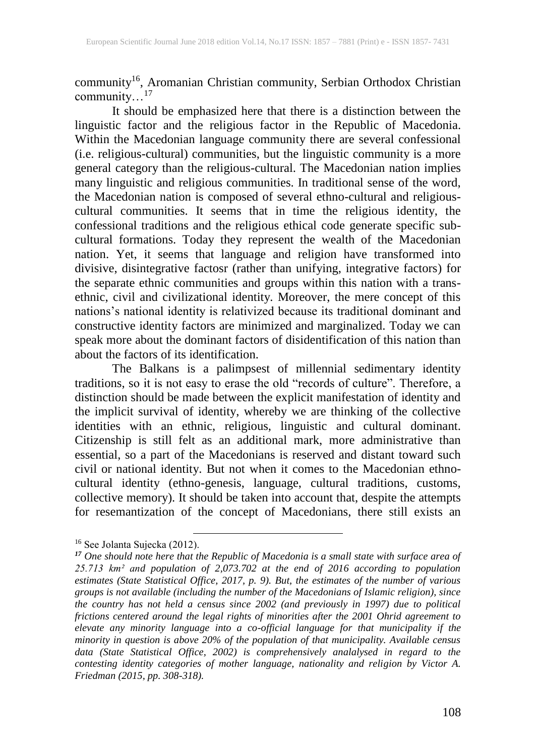community 16 , Aromanian Christian community, Serbian Orthodox Christian community…<sup>17</sup>

It should be emphasized here that there is a distinction between the linguistic factor and the religious factor in the Republic of Macedonia. Within the Macedonian language community there are several confessional (i.e. religious-cultural) communities, but the linguistic community is a more general category than the religious-cultural. The Macedonian nation implies many linguistic and religious communities. In traditional sense of the word, the Macedonian nation is composed of several ethno-cultural and religiouscultural communities. It seems that in time the religious identity, the confessional traditions and the religious ethical code generate specific subcultural formations. Today they represent the wealth of the Macedonian nation. Yet, it seems that language and religion have transformed into divisive, disintegrative factosr (rather than unifying, integrative factors) for the separate ethnic communities and groups within this nation with a transethnic, civil and civilizational identity. Moreover, the mere concept of this nations's national identity is relativized because its traditional dominant and constructive identity factors are minimized and marginalized. Today we can speak more about the dominant factors of disidentification of this nation than about the factors of its identification.

The Balkans is a palimpsest of millennial sedimentary identity traditions, so it is not easy to erase the old "records of culture". Therefore, a distinction should be made between the explicit manifestation of identity and the implicit survival of identity, whereby we are thinking of the collective identities with an ethnic, religious, linguistic and cultural dominant. Citizenship is still felt as an additional mark, more administrative than essential, so a part of the Macedonians is reserved and distant toward such civil or national identity. But not when it comes to the Macedonian ethnocultural identity (ethno-genesis, language, cultural traditions, customs, collective memory). It should be taken into account that, despite the attempts for resemantization of the concept of Macedonians, there still exists an

<sup>16</sup> See Jolanta Sujecka (2012).

*<sup>17</sup> One should note here that the Republic of Macedonia is a small state with surface area of 25.713 km² and population of 2,073.702 at the end of 2016 according to population estimates (State Statistical Office, 2017, p. 9). But, the estimates of the number of various groups is not available (including the number of the Macedonians of Islamic religion), since the country has not held a census since 2002 (and previously in 1997) due to political frictions centered around the legal rights of minorities after the 2001 Ohrid agreement to elevate any minority language into a co-official language for that municipality if the minority in question is above 20% of the population of that municipality. Available census data (State Statistical Office, 2002) is comprehensively analalysed in regard to the contesting identity categories of mother language, nationality and religion by Victor A. Friedman (2015, pp. 308-318).*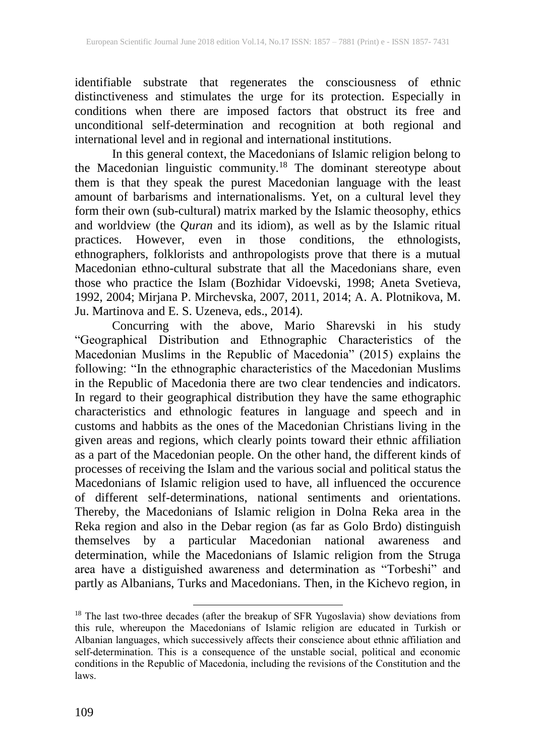identifiable substrate that regenerates the consciousness of ethnic distinctiveness and stimulates the urge for its protection. Especially in conditions when there are imposed factors that obstruct its free and unconditional self-determination and recognition at both regional and international level and in regional and international institutions.

In this general context, the Macedonians of Islamic religion belong to the Macedonian linguistic community.<sup>18</sup> The dominant stereotype about them is that they speak the purest Macedonian language with the least amount of barbarisms and internationalisms. Yet, on a cultural level they form their own (sub-cultural) matrix marked by the Islamic theosophy, ethics and worldview (the *Quran* and its idiom), as well as by the Islamic ritual practices. However, even in those conditions, the ethnologists, ethnographers, folklorists and anthropologists prove that there is a mutual Macedonian ethno-cultural substrate that all the Macedonians share, even those who practice the Islam (Bozhidar Vidoevski, 1998; Aneta Svetieva, 1992, 2004; Mirjana P. Mirchevska, 2007, 2011, 2014; A. A. Plotnikova, M. Ju. Martinova and E. S. Uzeneva, eds., 2014).

Concurring with the above, Mario Sharevski in his study "Geographical Distribution and Ethnographic Characteristics of the Macedonian Muslims in the Republic of Macedonia" (2015) explains the following: "In the ethnographic characteristics of the Macedonian Muslims in the Republic of Macedonia there are two clear tendencies and indicators. In regard to their geographical distribution they have the same ethographic characteristics and ethnologic features in language and speech and in customs and habbits as the ones of the Macedonian Christians living in the given areas and regions, which clearly points toward their ethnic affiliation as a part of the Macedonian people. On the other hand, the different kinds of processes of receiving the Islam and the various social and political status the Macedonians of Islamic religion used to have, all influenced the occurence of different self-determinations, national sentiments and orientations. Thereby, the Macedonians of Islamic religion in Dolna Reka area in the Reka region and also in the Debar region (as far as Golo Brdo) distinguish themselves by a particular Macedonian national awareness and determination, while the Macedonians of Islamic religion from the Struga area have a distiguished awareness and determination as "Torbeshi" and partly as Albanians, Turks and Macedonians. Then, in the Kichevo region, in

<sup>&</sup>lt;sup>18</sup> The last two-three decades (after the breakup of SFR Yugoslavia) show deviations from this rule, whereupon the Macedonians of Islamic religion are educated in Turkish or Albanian languages, which successively affects their conscience about ethnic affiliation and self-determination. This is a consequence of the unstable social, political and economic conditions in the Republic of Macedonia, including the revisions of the Constitution and the laws.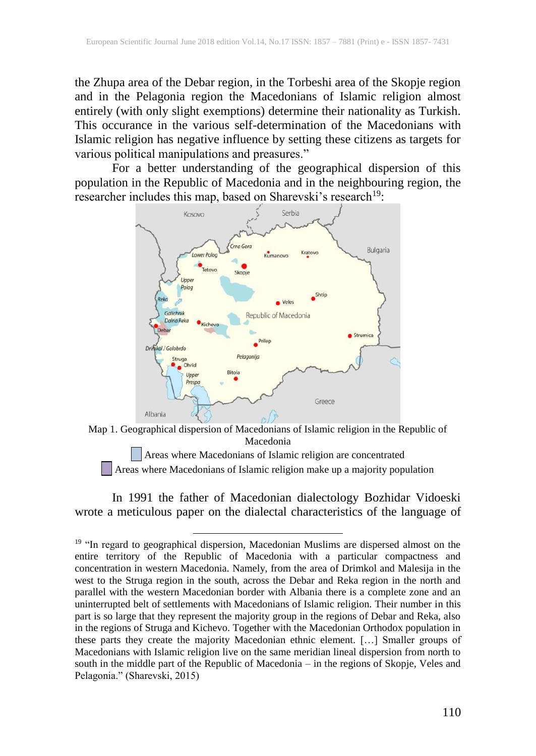the Zhupa area of the Debar region, in the Torbeshi area of the Skopje region and in the Pelagonia region the Macedonians of Islamic religion almost entirely (with only slight exemptions) determine their nationality as Turkish. This occurance in the various self-determination of the Macedonians with Islamic religion has negative influence by setting these citizens as targets for various political manipulations and preasures."

For a better understanding of the geographical dispersion of this population in the Republic of Macedonia and in the neighbouring region, the researcher includes this map, based on Sharevski's research<sup>19</sup>:



Map 1. Geographical dispersion of Macedonians of Islamic religion in the Republic of Macedonia

Areas where Macedonians of Islamic religion are concentrated Areas where Macedonians of Islamic religion make up a majority population

In 1991 the father of Macedonian dialectology Bozhidar Vidoeski wrote a meticulous paper on the dialectal characteristics of the language of

<sup>&</sup>lt;sup>19</sup> "In regard to geographical dispersion, Macedonian Muslims are dispersed almost on the entire territory of the Republic of Macedonia with a particular compactness and concentration in western Macedonia. Namely, from the area of Drimkol and Malesija in the west to the Struga region in the south, across the Debar and Reka region in the north and parallel with the western Macedonian border with Albania there is a complete zone and an uninterrupted belt of settlements with Macedonians of Islamic religion. Their number in this part is so large that they represent the majority group in the regions of Debar and Reka, also in the regions of Struga and Kichevo. Together with the Macedonian Orthodox population in these parts they create the majority Macedonian ethnic element. […] Smaller groups of Macedonians with Islamic religion live on the same meridian lineal dispersion from north to south in the middle part of the Republic of Macedonia – in the regions of Skopje, Veles and Pelagonia." (Sharevski, 2015)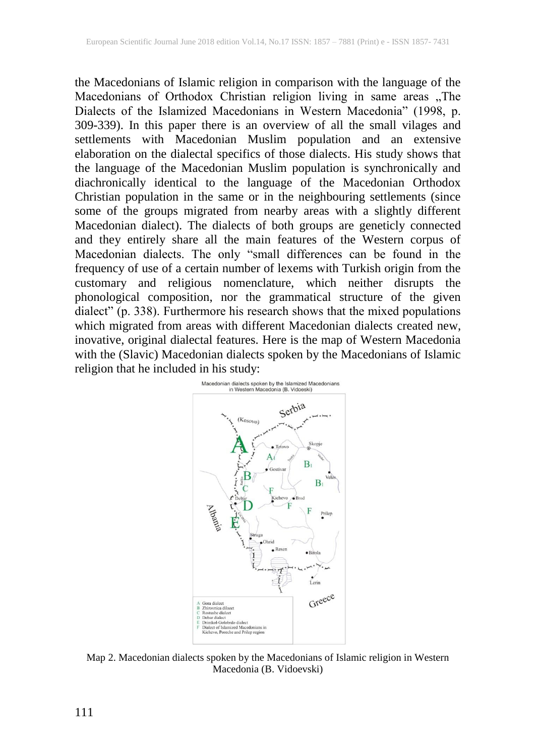the Macedonians of Islamic religion in comparison with the language of the Macedonians of Orthodox Christian religion living in same areas "The Dialects of the Islamized Macedonians in Western Macedonia" (1998, p. 309-339). In this paper there is an overview of all the small vilages and settlements with Macedonian Muslim population and an extensive elaboration on the dialectal specifics of those dialects. His study shows that the language of the Macedonian Muslim population is synchronically and diachronically identical to the language of the Macedonian Orthodox Christian population in the same or in the neighbouring settlements (since some of the groups migrated from nearby areas with a slightly different Macedonian dialect). The dialects of both groups are geneticly connected and they entirely share all the main features of the Western corpus of Macedonian dialects. The only "small differences can be found in the frequency of use of a certain number of lexems with Turkish origin from the customary and religious nomenclature, which neither disrupts the phonological composition, nor the grammatical structure of the given dialect" (p. 338). Furthermore his research shows that the mixed populations which migrated from areas with different Macedonian dialects created new, inovative, original dialectal features. Here is the map of Western Macedonia with the (Slavic) Macedonian dialects spoken by the Macedonians of Islamic religion that he included in his study:



Map 2. Macedonian dialects spoken by the Macedonians of Islamic religion in Western Macedonia (B. Vidoevski)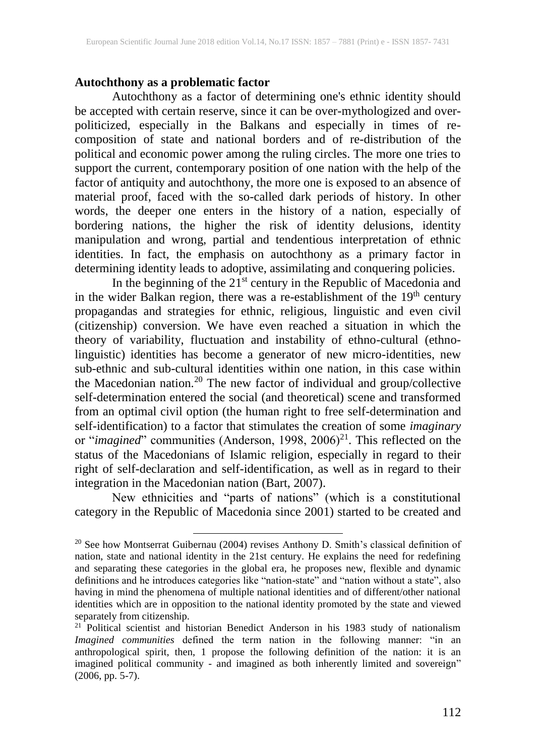#### **Autochthony as a problematic factor**

Autochthony as a factor of determining one's ethnic identity should be accepted with certain reserve, since it can be over-mythologized and overpoliticized, especially in the Balkans and especially in times of recomposition of state and national borders and of re-distribution of the political and economic power among the ruling circles. The more one tries to support the current, contemporary position of one nation with the help of the factor of antiquity and autochthony, the more one is exposed to an absence of material proof, faced with the so-called dark periods of history. In other words, the deeper one enters in the history of a nation, especially of bordering nations, the higher the risk of identity delusions, identity manipulation and wrong, partial and tendentious interpretation of ethnic identities. In fact, the emphasis on autochthony as a primary factor in determining identity leads to adoptive, assimilating and conquering policies.

In the beginning of the 21<sup>st</sup> century in the Republic of Macedonia and in the wider Balkan region, there was a re-establishment of the 19<sup>th</sup> century propagandas and strategies for ethnic, religious, linguistic and even civil (citizenship) conversion. We have even reached a situation in which the theory of variability, fluctuation and instability of ethno-cultural (ethnolinguistic) identities has become a generator of new micro-identities, new sub-ethnic and sub-cultural identities within one nation, in this case within the Macedonian nation.<sup>20</sup> The new factor of individual and group/collective self-determination entered the social (and theoretical) scene and transformed from an optimal civil option (the human right to free self-determination and self-identification) to a factor that stimulates the creation of some *imaginary* or "*imagined*" communities (Anderson, 1998, 2006)<sup>21</sup>. This reflected on the status of the Macedonians of Islamic religion, especially in regard to their right of self-declaration and self-identification, as well as in regard to their integration in the Macedonian nation (Bart, 2007).

New ethnicities and "parts of nations" (which is a constitutional category in the Republic of Macedonia since 2001) started to be created and

<sup>&</sup>lt;sup>20</sup> See how Montserrat Guibernau (2004) revises Anthony D. Smith's classical definition of nation, state and national identity in the 21st century. He explains the need for redefining and separating these categories in the global era, he proposes new, flexible and dynamic definitions and he introduces categories like "nation-state" and "nation without a state", also having in mind the phenomena of multiple national identities and of different/other national identities which are in opposition to the national identity promoted by the state and viewed separately from citizenship.

<sup>&</sup>lt;sup>21</sup> Political scientist and historian Benedict Anderson in his 1983 study of nationalism *Imagined communities* defined the term nation in the following manner: "in an anthropological spirit, then, 1 propose the following definition of the nation: it is an imagined political community - and imagined as both inherently limited and sovereign" (2006, pp. 5-7).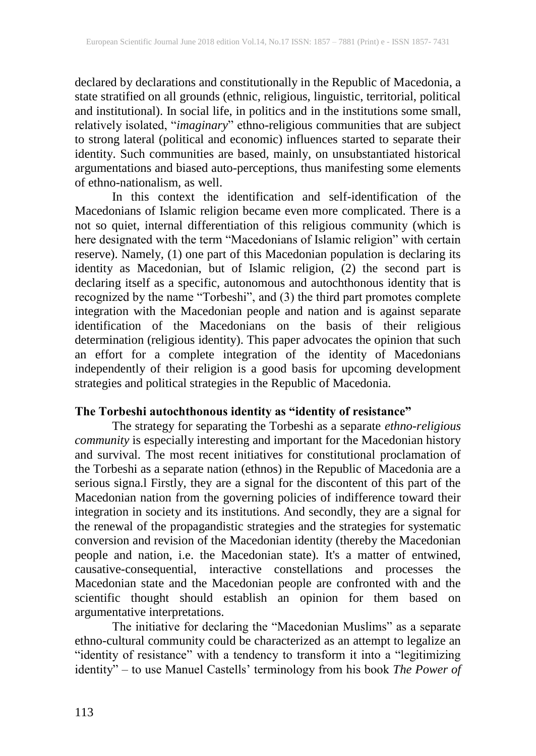declared by declarations and constitutionally in the Republic of Macedonia, a state stratified on all grounds (ethnic, religious, linguistic, territorial, political and institutional). In social life, in politics and in the institutions some small, relatively isolated, "*imaginary*" ethno-religious communities that are subject to strong lateral (political and economic) influences started to separate their identity. Such communities are based, mainly, on unsubstantiated historical argumentations and biased auto-perceptions, thus manifesting some elements of ethno-nationalism, as well.

In this context the identification and self-identification of the Macedonians of Islamic religion became even more complicated. There is a not so quiet, internal differentiation of this religious community (which is here designated with the term "Macedonians of Islamic religion" with certain reserve). Namely, (1) one part of this Macedonian population is declaring its identity as Macedonian, but of Islamic religion, (2) the second part is declaring itself as a specific, autonomous and autochthonous identity that is recognized by the name "Torbeshi", and (3) the third part promotes complete integration with the Macedonian people and nation and is against separate identification of the Macedonians on the basis of their religious determination (religious identity). This paper advocates the opinion that such an effort for a complete integration of the identity of Macedonians independently of their religion is a good basis for upcoming development strategies and political strategies in the Republic of Macedonia.

#### **The Torbeshi autochthonous identity as "identity of resistance"**

The strategy for separating the Torbeshi as a separate *ethno-religious community* is especially interesting and important for the Macedonian history and survival. The most recent initiatives for constitutional proclamation of the Torbeshi as a separate nation (ethnos) in the Republic of Macedonia are a serious signa.l Firstly, they are a signal for the discontent of this part of the Macedonian nation from the governing policies of indifference toward their integration in society and its institutions. And secondly, they are a signal for the renewal of the propagandistic strategies and the strategies for systematic conversion and revision of the Macedonian identity (thereby the Macedonian people and nation, i.e. the Macedonian state). It's a matter of entwined, causative-consequential, interactive constellations and processes the Macedonian state and the Macedonian people are confronted with and the scientific thought should establish an opinion for them based on argumentative interpretations.

The initiative for declaring the "Macedonian Muslims" as a separate ethno-cultural community could be characterized as an attempt to legalize an "identity of resistance" with a tendency to transform it into a "legitimizing identity" – to use Manuel Castells' terminology from his book *The Power of*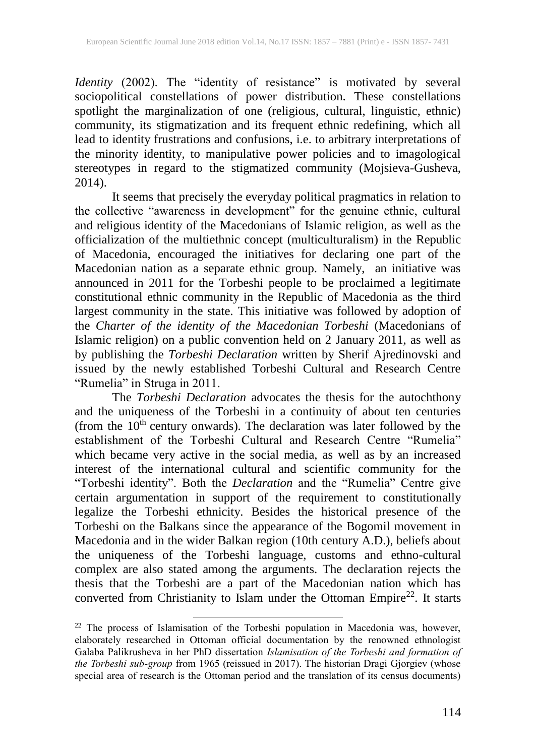*Identity* (2002). The "identity of resistance" is motivated by several sociopolitical constellations of power distribution. These constellations spotlight the marginalization of one (religious, cultural, linguistic, ethnic) community, its stigmatization and its frequent ethnic redefining, which all lead to identity frustrations and confusions, i.e. to arbitrary interpretations of the minority identity, to manipulative power policies and to imagological stereotypes in regard to the stigmatized community (Mojsieva-Gusheva, 2014).

It seems that precisely the everyday political pragmatics in relation to the collective "awareness in development" for the genuine ethnic, cultural and religious identity of the Macedonians of Islamic religion, as well as the officialization of the multiethnic concept (multiculturalism) in the Republic of Macedonia, encouraged the initiatives for declaring one part of the Macedonian nation as a separate ethnic group. Namely, an initiative was announced in 2011 for the Torbeshi people to be proclaimed a legitimate constitutional ethnic community in the Republic of Macedonia as the third largest community in the state. This initiative was followed by adoption of the *Charter of the identity of the Macedonian Torbeshi* (Macedonians of Islamic religion) on a public convention held on 2 January 2011, as well as by publishing the *Torbeshi Declaration* written by Sherif Ajredinovski and issued by the newly established Torbeshi Cultural and Research Centre "Rumelia" in Struga in 2011.

The *Torbeshi Declaration* advocates the thesis for the autochthony and the uniqueness of the Torbeshi in a continuity of about ten centuries (from the  $10<sup>th</sup>$  century onwards). The declaration was later followed by the establishment of the Torbeshi Cultural and Research Centre "Rumelia" which became very active in the social media, as well as by an increased interest of the international cultural and scientific community for the "Torbeshi identity". Both the *Declaration* and the "Rumelia" Centre give certain argumentation in support of the requirement to constitutionally legalize the Torbeshi ethnicity. Besides the historical presence of the Torbeshi on the Balkans since the appearance of the Bogomil movement in Macedonia and in the wider Balkan region (10th century A.D.), beliefs about the uniqueness of the Torbeshi language, customs and ethno-cultural complex are also stated among the arguments. The declaration rejects the thesis that the Torbeshi are a part of the Macedonian nation which has converted from Christianity to Islam under the Ottoman Empire<sup>22</sup>. It starts

<sup>22</sup> The process of Islamisation of the Torbeshi population in Macedonia was, however, elaborately researched in Ottoman official documentation by the renowned ethnologist Galaba Palikrusheva in her PhD dissertation *Islamisation of the Torbeshi and formation of the Torbeshi sub-group* from 1965 (reissued in 2017). The historian Dragi Gjorgiev (whose special area of research is the Ottoman period and the translation of its census documents)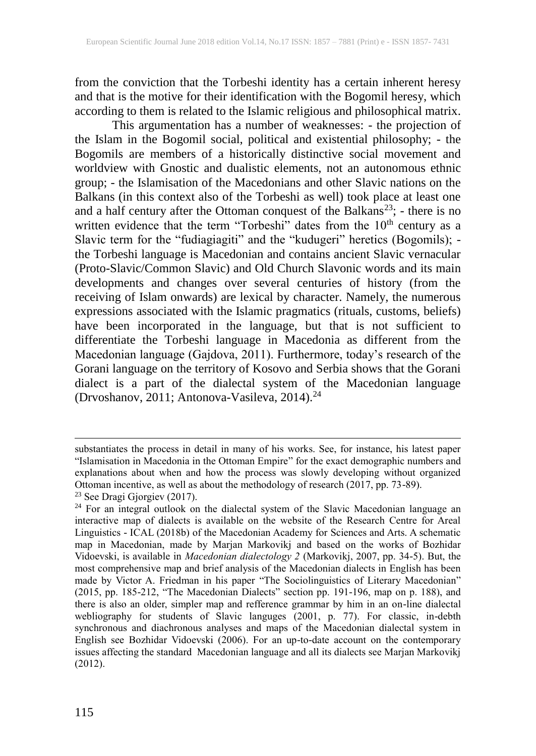from the conviction that the Torbeshi identity has a certain inherent heresy and that is the motive for their identification with the Bogomil heresy, which according to them is related to the Islamic religious and philosophical matrix.

This argumentation has a number of weaknesses: - the projection of the Islam in the Bogomil social, political and existential philosophy; - the Bogomils are members of a historically distinctive social movement and worldview with Gnostic and dualistic elements, not an autonomous ethnic group; - the Islamisation of the Macedonians and other Slavic nations on the Balkans (in this context also of the Torbeshi as well) took place at least one and a half century after the Ottoman conquest of the Balkans<sup>23</sup>; - there is no written evidence that the term "Torbeshi" dates from the  $10<sup>th</sup>$  century as a Slavic term for the "fudiagiagiti" and the "kudugeri" heretics (Bogomils); the Torbeshi language is Macedonian and contains ancient Slavic vernacular (Proto-Slavic/Common Slavic) and Old Church Slavonic words and its main developments and changes over several centuries of history (from the receiving of Islam onwards) are lexical by character. Namely, the numerous expressions associated with the Islamic pragmatics (rituals, customs, beliefs) have been incorporated in the language, but that is not sufficient to differentiate the Torbeshi language in Macedonia as different from the Macedonian language (Gajdova, 2011). Furthermore, today's research of the Gorani language on the territory of Kosovo and Serbia shows that the Gorani dialect is a part of the dialectal system of the Macedonian language (Drvoshanov, 2011; Antonova-Vasileva, 2014). 24

substantiates the process in detail in many of his works. See, for instance, his latest paper "Islamisation in Macedonia in the Ottoman Empire" for the exact demographic numbers and explanations about when and how the process was slowly developing without organized Ottoman incentive, as well as about the methodology of research (2017, pp. 73-89).

<sup>23</sup> See Dragi Gjorgiev (2017).

<sup>&</sup>lt;sup>24</sup> For an integral outlook on the dialectal system of the Slavic Macedonian language an interactive map of dialects is available on the website of the Research Centre for Areal Linguistics - ICAL (2018b) of the Macedonian Academy for Sciences and Arts. A schematic map in Macedonian, made by Marjan Markovikj and based on the works of Bozhidar Vidoevski, is available in *Macedonian dialectology 2* (Markovikj, 2007, pp. 34-5). But, the most comprehensive map and brief analysis of the Macedonian dialects in English has been made by Victor A. Friedman in his paper "The Sociolinguistics of Literary Macedonian" (2015, pp. 185-212, "The Macedonian Dialects" section pp. 191-196, map on p. 188), and there is also an older, simpler map and refference grammar by him in an on-line dialectal webliography for students of Slavic languges (2001, p. 77). For classic, in-debth synchronous and diachronous analyses and maps of the Macedonian dialectal system in English see Bozhidar Vidoevski (2006). For an up-to-date account on the contemporary issues affecting the standard Macedonian language and all its dialects see Marjan Markovikj (2012).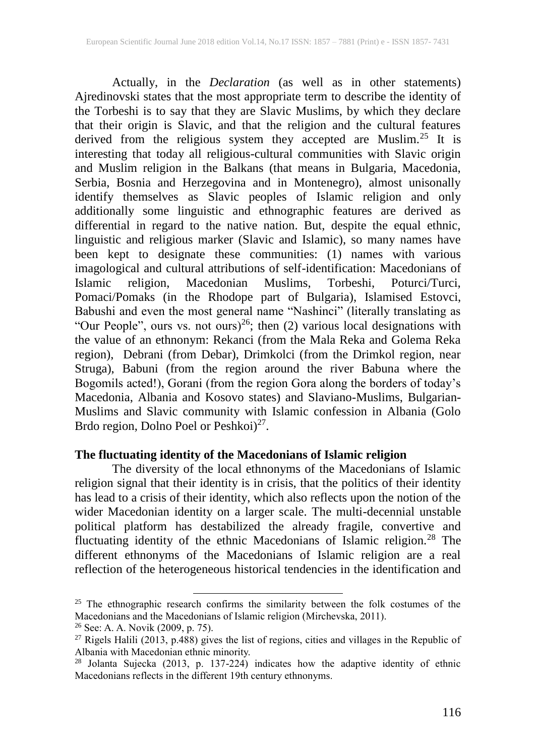Actually, in the *Declaration* (as well as in other statements) Ajredinovski states that the most appropriate term to describe the identity of the Torbeshi is to say that they are Slavic Muslims, by which they declare that their origin is Slavic, and that the religion and the cultural features derived from the religious system they accepted are Muslim.<sup>25</sup> It is interesting that today all religious-cultural communities with Slavic origin and Muslim religion in the Balkans (that means in Bulgaria, Macedonia, Serbia, Bosnia and Herzegovina and in Montenegro), almost unisonally identify themselves as Slavic peoples of Islamic religion and only additionally some linguistic and ethnographic features are derived as differential in regard to the native nation. But, despite the equal ethnic, linguistic and religious marker (Slavic and Islamic), so many names have been kept to designate these communities: (1) names with various imagological and cultural attributions of self-identification: Macedonians of Islamic religion, Macedonian Muslims, Torbeshi, Poturci/Turci, Islamic religion, Macedonian Muslims, Torbeshi, Poturci/Turci, Pomaci/Pomaks (in the Rhodope part of Bulgaria), Islamised Estovci, Babushi and even the most general name "Nashinci" (literally translating as "Our People", ours vs. not ours)<sup>26</sup>; then (2) various local designations with the value of an ethnonym: Rekanci (from the Mala Reka and Golema Reka region), Debrani (from Debar), Drimkolci (from the Drimkol region, near Struga), Babuni (from the region around the river Babuna where the Bogomils acted!), Gorani (from the region Gora along the borders of today's Macedonia, Albania and Kosovo states) and Slaviano-Muslims, Bulgarian-Muslims and Slavic community with Islamic confession in Albania (Golo Brdo region, Dolno Poel or Peshkoi)<sup>27</sup>.

#### **The fluctuating identity of the Macedonians of Islamic religion**

The diversity of the local ethnonyms of the Macedonians of Islamic religion signal that their identity is in crisis, that the politics of their identity has lead to a crisis of their identity, which also reflects upon the notion of the wider Macedonian identity on a larger scale. The multi-decennial unstable political platform has destabilized the already fragile, convertive and fluctuating identity of the ethnic Macedonians of Islamic religion.<sup>28</sup> The different ethnonyms of the Macedonians of Islamic religion are a real reflection of the heterogeneous historical tendencies in the identification and

<sup>&</sup>lt;sup>25</sup> The ethnographic research confirms the similarity between the folk costumes of the Macedonians and the Macedonians of Islamic religion (Mirchevska, 2011).

<sup>26</sup> See: A. A. Novik (2009, p. 75).

<sup>&</sup>lt;sup>27</sup> Rigels Halili (2013, p.488) gives the list of regions, cities and villages in the Republic of Albania with Macedonian ethnic minority.

 $28$  Jolanta Sujecka (2013, p. 137-224) indicates how the adaptive identity of ethnic Macedonians reflects in the different 19th century ethnonyms.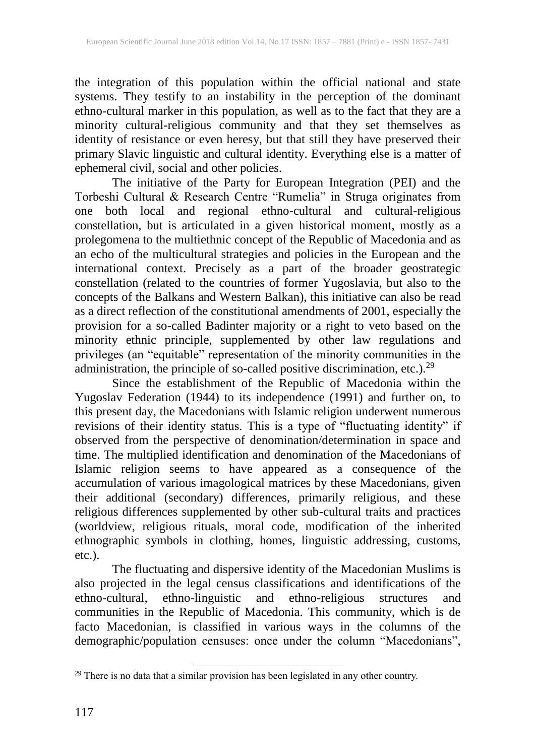the integration of this population within the official national and state systems. They testify to an instability in the perception of the dominant ethno-cultural marker in this population, as well as to the fact that they are a minority cultural-religious community and that they set themselves as identity of resistance or even heresy, but that still they have preserved their primary Slavic linguistic and cultural identity. Everything else is a matter of ephemeral civil, social and other policies.

The initiative of the Party for European Integration (PEI) and the Torbeshi Cultural & Research Centre "Rumelia" in Struga originates from one both local and regional ethno-cultural and cultural-religious constellation, but is articulated in a given historical moment, mostly as a prolegomena to the multiethnic concept of the Republic of Macedonia and as an echo of the multicultural strategies and policies in the European and the international context. Precisely as a part of the broader geostrategic constellation (related to the countries of former Yugoslavia, but also to the concepts of the Balkans and Western Balkan), this initiative can also be read as a direct reflection of the constitutional amendments of 2001, especially the provision for a so-called Badinter majority or a right to veto based on the minority ethnic principle, supplemented by other law regulations and privileges (an "equitable" representation of the minority communities in the administration, the principle of so-called positive discrimination, etc.).<sup>29</sup>

Since the establishment of the Republic of Macedonia within the Yugoslav Federation (1944) to its independence (1991) and further on, to this present day, the Macedonians with Islamic religion underwent numerous revisions of their identity status. This is a type of "fluctuating identity" if observed from the perspective of denomination/determination in space and time. The multiplied identification and denomination of the Macedonians of Islamic religion seems to have appeared as a consequence of the accumulation of various imagological matrices by these Macedonians, given their additional (secondary) differences, primarily religious, and these religious differences supplemented by other sub-cultural traits and practices (worldview, religious rituals, moral code, modification of the inherited ethnographic symbols in clothing, homes, linguistic addressing, customs, etc.).

The fluctuating and dispersive identity of the Macedonian Muslims is also projected in the legal census classifications and identifications of the ethno-cultural, ethno-linguistic and ethno-religious structures and communities in the Republic of Macedonia. This community, which is de facto Macedonian, is classified in various ways in the columns of the demographic/population censuses: once under the column "Macedonians",

<sup>&</sup>lt;sup>29</sup> There is no data that a similar provision has been legislated in any other country.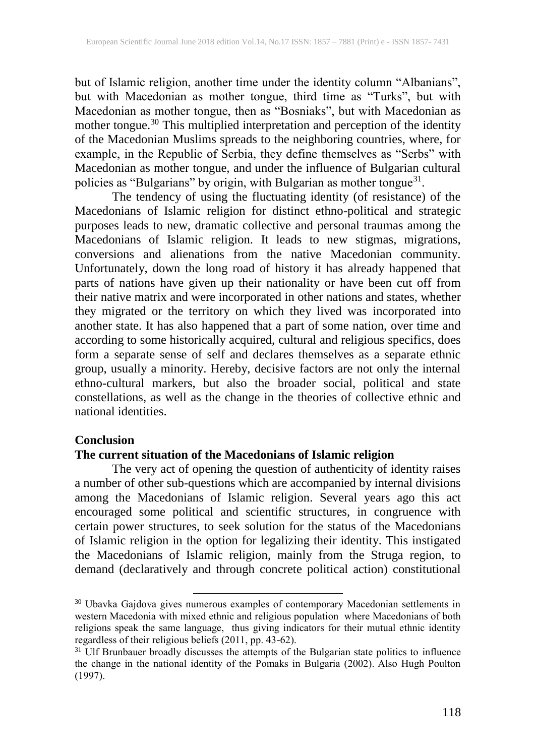but of Islamic religion, another time under the identity column "Albanians", but with Macedonian as mother tongue, third time as "Turks", but with Macedonian as mother tongue, then as "Bosniaks", but with Macedonian as mother tongue.<sup>30</sup> This multiplied interpretation and perception of the identity of the Macedonian Muslims spreads to the neighboring countries, where, for example, in the Republic of Serbia, they define themselves as "Serbs" with Macedonian as mother tongue, and under the influence of Bulgarian cultural policies as "Bulgarians" by origin, with Bulgarian as mother tongue<sup>31</sup>.

The tendency of using the fluctuating identity (of resistance) of the Macedonians of Islamic religion for distinct ethno-political and strategic purposes leads to new, dramatic collective and personal traumas among the Macedonians of Islamic religion. It leads to new stigmas, migrations, conversions and alienations from the native Macedonian community. Unfortunately, down the long road of history it has already happened that parts of nations have given up their nationality or have been cut off from their native matrix and were incorporated in other nations and states, whether they migrated or the territory on which they lived was incorporated into another state. It has also happened that a part of some nation, over time and according to some historically acquired, cultural and religious specifics, does form a separate sense of self and declares themselves as a separate ethnic group, usually a minority. Hereby, decisive factors are not only the internal ethno-cultural markers, but also the broader social, political and state constellations, as well as the change in the theories of collective ethnic and national identities.

#### **Conclusion**

## **The current situation of the Macedonians of Islamic religion**

 $\overline{a}$ 

The very act of opening the question of authenticity of identity raises a number of other sub-questions which are accompanied by internal divisions among the Macedonians of Islamic religion. Several years ago this act encouraged some political and scientific structures, in congruence with certain power structures, to seek solution for the status of the Macedonians of Islamic religion in the option for legalizing their identity. This instigated the Macedonians of Islamic religion, mainly from the Struga region, to demand (declaratively and through concrete political action) constitutional

<sup>&</sup>lt;sup>30</sup> Ubavka Gajdova gives numerous examples of contemporary Macedonian settlements in western Macedonia with mixed ethnic and religious population where Macedonians of both religions speak the same language, thus giving indicators for their mutual ethnic identity regardless of their religious beliefs (2011, pp. 43-62).

<sup>&</sup>lt;sup>31</sup> Ulf Brunbauer broadly discusses the attempts of the Bulgarian state politics to influence the change in the national identity of the Pomaks in Bulgaria (2002). Also Hugh Poulton (1997).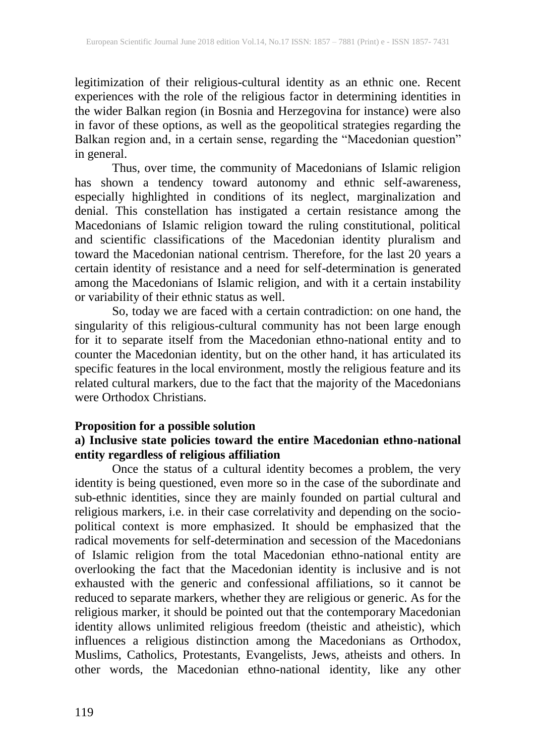legitimization of their religious-cultural identity as an ethnic one. Recent experiences with the role of the religious factor in determining identities in the wider Balkan region (in Bosnia and Herzegovina for instance) were also in favor of these options, as well as the geopolitical strategies regarding the Balkan region and, in a certain sense, regarding the "Macedonian question" in general.

Thus, over time, the community of Macedonians of Islamic religion has shown a tendency toward autonomy and ethnic self-awareness, especially highlighted in conditions of its neglect, marginalization and denial. This constellation has instigated a certain resistance among the Macedonians of Islamic religion toward the ruling constitutional, political and scientific classifications of the Macedonian identity pluralism and toward the Macedonian national centrism. Therefore, for the last 20 years a certain identity of resistance and a need for self-determination is generated among the Macedonians of Islamic religion, and with it a certain instability or variability of their ethnic status as well.

So, today we are faced with a certain contradiction: on one hand, the singularity of this religious-cultural community has not been large enough for it to separate itself from the Macedonian ethno-national entity and to counter the Macedonian identity, but on the other hand, it has articulated its specific features in the local environment, mostly the religious feature and its related cultural markers, due to the fact that the majority of the Macedonians were Orthodox Christians.

#### **Proposition for a possible solution**

# **a) Inclusive state policies toward the entire Macedonian ethno-national entity regardless of religious affiliation**

Once the status of a cultural identity becomes a problem, the very identity is being questioned, even more so in the case of the subordinate and sub-ethnic identities, since they are mainly founded on partial cultural and religious markers, i.e. in their case correlativity and depending on the sociopolitical context is more emphasized. It should be emphasized that the radical movements for self-determination and secession of the Macedonians of Islamic religion from the total Macedonian ethno-national entity are overlooking the fact that the Macedonian identity is inclusive and is not exhausted with the generic and confessional affiliations, so it cannot be reduced to separate markers, whether they are religious or generic. As for the religious marker, it should be pointed out that the contemporary Macedonian identity allows unlimited religious freedom (theistic and atheistic), which influences a religious distinction among the Macedonians as Orthodox, Muslims, Catholics, Protestants, Evangelists, Jews, atheists and others. In other words, the Macedonian ethno-national identity, like any other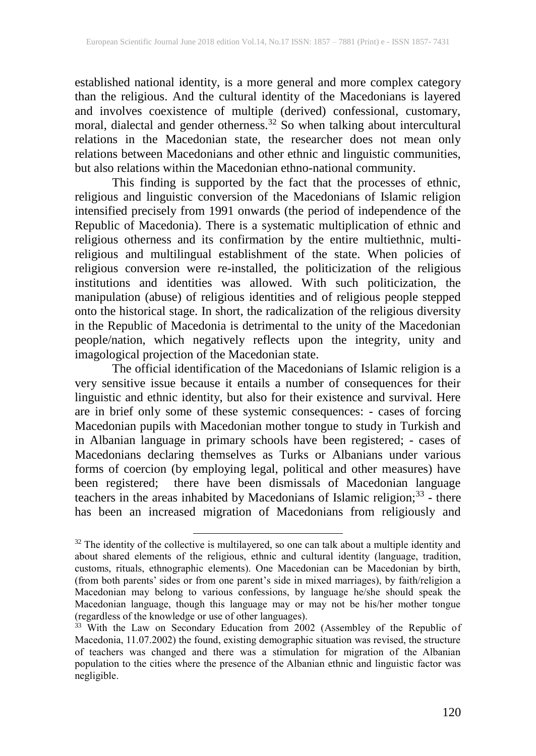established national identity, is a more general and more complex category than the religious. And the cultural identity of the Macedonians is layered and involves coexistence of multiple (derived) confessional, customary, moral, dialectal and gender otherness.<sup>32</sup> So when talking about intercultural relations in the Macedonian state, the researcher does not mean only relations between Macedonians and other ethnic and linguistic communities, but also relations within the Macedonian ethno-national community.

This finding is supported by the fact that the processes of ethnic, religious and linguistic conversion of the Macedonians of Islamic religion intensified precisely from 1991 onwards (the period of independence of the Republic of Macedonia). There is a systematic multiplication of ethnic and religious otherness and its confirmation by the entire multiethnic, multireligious and multilingual establishment of the state. When policies of religious conversion were re-installed, the politicization of the religious institutions and identities was allowed. With such politicization, the manipulation (abuse) of religious identities and of religious people stepped onto the historical stage. In short, the radicalization of the religious diversity in the Republic of Macedonia is detrimental to the unity of the Macedonian people/nation, which negatively reflects upon the integrity, unity and imagological projection of the Macedonian state.

The official identification of the Macedonians of Islamic religion is a very sensitive issue because it entails a number of consequences for their linguistic and ethnic identity, but also for their existence and survival. Here are in brief only some of these systemic consequences: - cases of forcing Macedonian pupils with Macedonian mother tongue to study in Turkish and in Albanian language in primary schools have been registered; - cases of Macedonians declaring themselves as Turks or Albanians under various forms of coercion (by employing legal, political and other measures) have been registered; there have been dismissals of Macedonian language teachers in the areas inhabited by Macedonians of Islamic religion;<sup>33</sup> - there has been an increased migration of Macedonians from religiously and

<sup>&</sup>lt;sup>32</sup> The identity of the collective is multilayered, so one can talk about a multiple identity and about shared elements of the religious, ethnic and cultural identity (language, tradition, customs, rituals, ethnographic elements). One Macedonian can be Macedonian by birth, (from both parents' sides or from one parent's side in mixed marriages), by faith/religion a Macedonian may belong to various confessions, by language he/she should speak the Macedonian language, though this language may or may not be his/her mother tongue (regardless of the knowledge or use of other languages).

<sup>&</sup>lt;sup>33</sup> With the Law on Secondary Education from 2002 (Assembley of the Republic of Macedonia, 11.07.2002) the found, existing demographic situation was revised, the structure of teachers was changed and there was a stimulation for migration of the Albanian population to the cities where the presence of the Albanian ethnic and linguistic factor was negligible.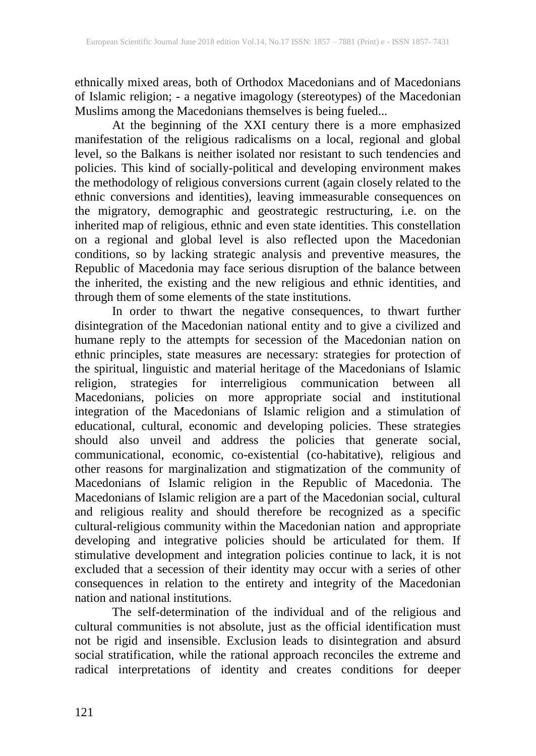ethnically mixed areas, both of Orthodox Macedonians and of Macedonians of Islamic religion; - a negative imagology (stereotypes) of the Macedonian Muslims among the Macedonians themselves is being fueled...

At the beginning of the XXI century there is a more emphasized manifestation of the religious radicalisms on a local, regional and global level, so the Balkans is neither isolated nor resistant to such tendencies and policies. This kind of socially-political and developing environment makes the methodology of religious conversions current (again closely related to the ethnic conversions and identities), leaving immeasurable consequences on the migratory, demographic and geostrategic restructuring, i.e. on the inherited map of religious, ethnic and even state identities. This constellation on a regional and global level is also reflected upon the Macedonian conditions, so by lacking strategic analysis and preventive measures, the Republic of Macedonia may face serious disruption of the balance between the inherited, the existing and the new religious and ethnic identities, and through them of some elements of the state institutions.

In order to thwart the negative consequences, to thwart further disintegration of the Macedonian national entity and to give a civilized and humane reply to the attempts for secession of the Macedonian nation on ethnic principles, state measures are necessary: strategies for protection of the spiritual, linguistic and material heritage of the Macedonians of Islamic religion, strategies for interreligious communication between all Macedonians, policies on more appropriate social and institutional integration of the Macedonians of Islamic religion and a stimulation of educational, cultural, economic and developing policies. These strategies should also unveil and address the policies that generate social, communicational, economic, co-existential (co-habitative), religious and other reasons for marginalization and stigmatization of the community of Macedonians of Islamic religion in the Republic of Macedonia. The Macedonians of Islamic religion are a part of the Macedonian social, cultural and religious reality and should therefore be recognized as a specific cultural-religious community within the Macedonian nation and appropriate developing and integrative policies should be articulated for them. If stimulative development and integration policies continue to lack, it is not excluded that a secession of their identity may occur with a series of other consequences in relation to the entirety and integrity of the Macedonian nation and national institutions.

The self-determination of the individual and of the religious and cultural communities is not absolute, just as the official identification must not be rigid and insensible. Exclusion leads to disintegration and absurd social stratification, while the rational approach reconciles the extreme and radical interpretations of identity and creates conditions for deeper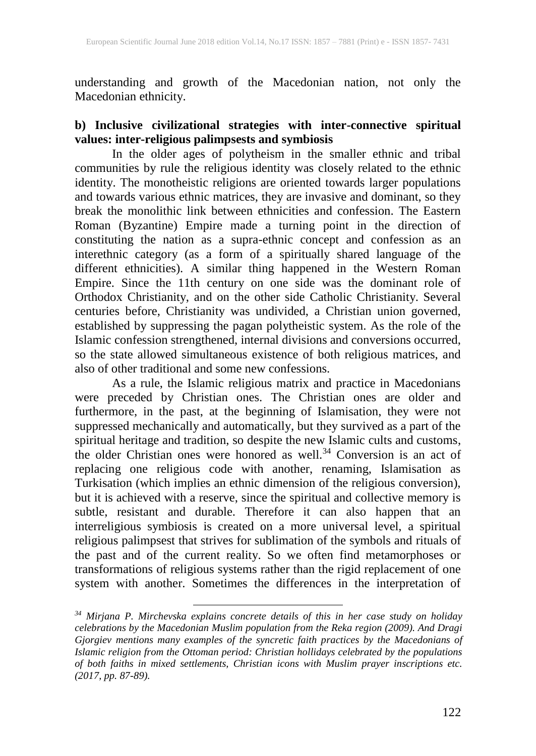understanding and growth of the Macedonian nation, not only the Macedonian ethnicity.

### **b) Inclusive civilizational strategies with inter-connective spiritual values: inter-religious palimpsests and symbiosis**

In the older ages of polytheism in the smaller ethnic and tribal communities by rule the religious identity was closely related to the ethnic identity. The monotheistic religions are oriented towards larger populations and towards various ethnic matrices, they are invasive and dominant, so they break the monolithic link between ethnicities and confession. The Eastern Roman (Byzantine) Empire made a turning point in the direction of constituting the nation as a supra-ethnic concept and confession as an interethnic category (as a form of a spiritually shared language of the different ethnicities). A similar thing happened in the Western Roman Empire. Since the 11th century on one side was the dominant role of Orthodox Christianity, and on the other side Catholic Christianity. Several centuries before, Christianity was undivided, a Christian union governed, established by suppressing the pagan polytheistic system. As the role of the Islamic confession strengthened, internal divisions and conversions occurred, so the state allowed simultaneous existence of both religious matrices, and also of other traditional and some new confessions.

As a rule, the Islamic religious matrix and practice in Macedonians were preceded by Christian ones. The Christian ones are older and furthermore, in the past, at the beginning of Islamisation, they were not suppressed mechanically and automatically, but they survived as a part of the spiritual heritage and tradition, so despite the new Islamic cults and customs, the older Christian ones were honored as well. <sup>34</sup> Conversion is an act of replacing one religious code with another, renaming, Islamisation as Turkisation (which implies an ethnic dimension of the religious conversion), but it is achieved with a reserve, since the spiritual and collective memory is subtle, resistant and durable. Therefore it can also happen that an interreligious symbiosis is created on a more universal level, a spiritual religious palimpsest that strives for sublimation of the symbols and rituals of the past and of the current reality. So we often find metamorphoses or transformations of religious systems rather than the rigid replacement of one system with another. Sometimes the differences in the interpretation of

*<sup>34</sup> Mirjana P. Mirchevska explains concrete details of this in her case study on holiday celebrations by the Macedonian Muslim population from the Reka region (2009). And Dragi Gjorgiev mentions many examples of the syncretic faith practices by the Macedonians of Islamic religion from the Ottoman period: Christian hollidays celebrated by the populations of both faiths in mixed settlements, Christian icons with Muslim prayer inscriptions etc. (2017, pp. 87-89).*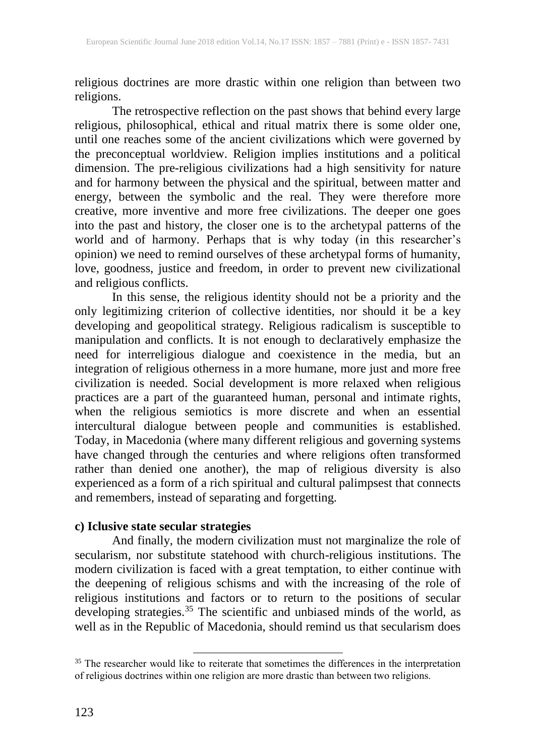religious doctrines are more drastic within one religion than between two religions.

The retrospective reflection on the past shows that behind every large religious, philosophical, ethical and ritual matrix there is some older one, until one reaches some of the ancient civilizations which were governed by the preconceptual worldview. Religion implies institutions and a political dimension. The pre-religious civilizations had a high sensitivity for nature and for harmony between the physical and the spiritual, between matter and energy, between the symbolic and the real. They were therefore more creative, more inventive and more free civilizations. The deeper one goes into the past and history, the closer one is to the archetypal patterns of the world and of harmony. Perhaps that is why today (in this researcher's opinion) we need to remind ourselves of these archetypal forms of humanity, love, goodness, justice and freedom, in order to prevent new civilizational and religious conflicts.

In this sense, the religious identity should not be a priority and the only legitimizing criterion of collective identities, nor should it be a key developing and geopolitical strategy. Religious radicalism is susceptible to manipulation and conflicts. It is not enough to declaratively emphasize the need for interreligious dialogue and coexistence in the media, but an integration of religious otherness in a more humane, more just and more free civilization is needed. Social development is more relaxed when religious practices are a part of the guaranteed human, personal and intimate rights, when the religious semiotics is more discrete and when an essential intercultural dialogue between people and communities is established. Today, in Macedonia (where many different religious and governing systems have changed through the centuries and where religions often transformed rather than denied one another), the map of religious diversity is also experienced as a form of a rich spiritual and cultural palimpsest that connects and remembers, instead of separating and forgetting.

#### **c) Iclusive state secular strategies**

 $\overline{a}$ 

And finally, the modern civilization must not marginalize the role of secularism, nor substitute statehood with church-religious institutions. The modern civilization is faced with a great temptation, to either continue with the deepening of religious schisms and with the increasing of the role of religious institutions and factors or to return to the positions of secular developing strategies.<sup>35</sup> The scientific and unbiased minds of the world, as well as in the Republic of Macedonia, should remind us that secularism does

 $35$  The researcher would like to reiterate that sometimes the differences in the interpretation of religious doctrines within one religion are more drastic than between two religions.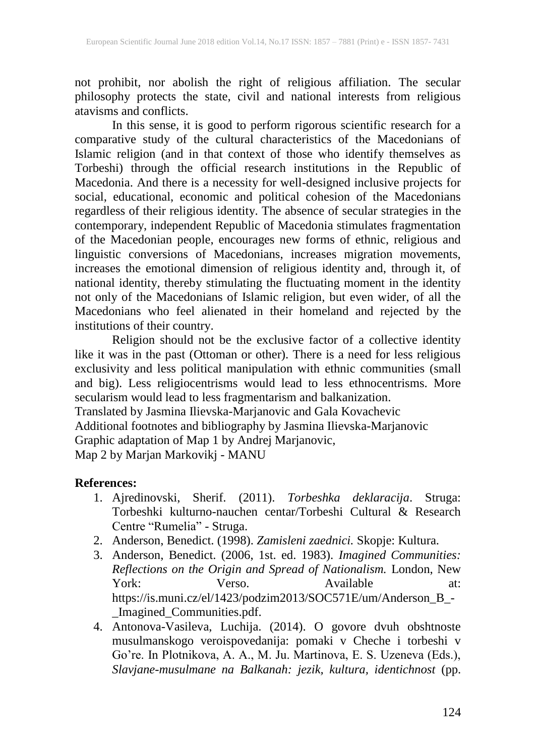not prohibit, nor abolish the right of religious affiliation. The secular philosophy protects the state, civil and national interests from religious atavisms and conflicts.

In this sense, it is good to perform rigorous scientific research for a comparative study of the cultural characteristics of the Macedonians of Islamic religion (and in that context of those who identify themselves as Torbeshi) through the official research institutions in the Republic of Macedonia. And there is a necessity for well-designed inclusive projects for social, educational, economic and political cohesion of the Macedonians regardless of their religious identity. The absence of secular strategies in the contemporary, independent Republic of Macedonia stimulates fragmentation of the Macedonian people, encourages new forms of ethnic, religious and linguistic conversions of Macedonians, increases migration movements, increases the emotional dimension of religious identity and, through it, of national identity, thereby stimulating the fluctuating moment in the identity not only of the Macedonians of Islamic religion, but even wider, of all the Macedonians who feel alienated in their homeland and rejected by the institutions of their country.

Religion should not be the exclusive factor of a collective identity like it was in the past (Ottoman or other). There is a need for less religious exclusivity and less political manipulation with ethnic communities (small and big). Less religiocentrisms would lead to less ethnocentrisms. More secularism would lead to less fragmentarism and balkanization.

Translated by Jasmina Ilievska-Marjanovic and Gala Kovachevic Additional footnotes and bibliography by Jasmina Ilievska-Marjanovic Graphic adaptation of Map 1 by Andrej Marjanovic,

Map 2 by Marjan Markovikj - MANU

#### **References:**

- 1. Ajredinovski, Sherif. (2011). *Torbeshka deklaracija*. Struga: Torbeshki kulturno-nauchen centar/Torbeshi Cultural & Research Centre "Rumelia" - Struga.
- 2. Anderson, Benedict. (1998). *Zamisleni zaednici.* Skopje: Kultura.
- 3. Anderson, Benedict. (2006, 1st. ed. 1983). *Imagined Communities: Reflections on the Origin and Spread of Nationalism.* London, New York: Verso. Available at: https://is.muni.cz/el/1423/podzim2013/SOC571E/um/Anderson\_B\_- \_Imagined\_Communities.pdf.
- 4. Antonova-Vasileva, Luchija. (2014). O govore dvuh obshtnoste musulmanskogo veroispovedanija: pomaki v Cheche i torbeshi v Go're. In Plotnikova, A. A., M. Ju. Martinova, E. S. Uzeneva (Eds.), *Slavjane-musulmane na Balkanah: jezik, kultura, identichnost* (pp.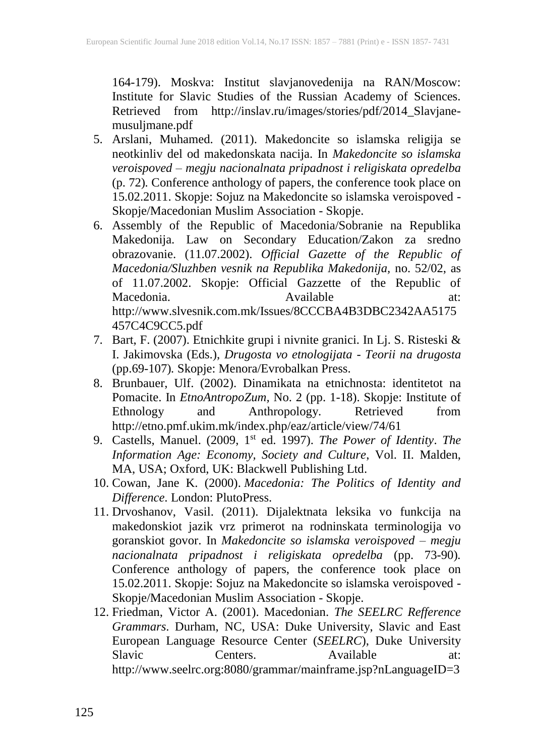164-179). Moskva: Institut slavjanovedenija na RAN/Moscow: Institute for Slavic Studies of the Russian Academy of Sciences. Retrieved from http://inslav.ru/images/stories/pdf/2014\_Slavjanemusuljmane.pdf

- 5. Arslani, Muhamed. (2011). Makedoncite so islamska religija se neotkinliv del od makedonskata nacija. In *Makedoncite so islamska veroispoved – megju nacionalnata pripadnost i religiskata opredelba* (p. 72)*.* Conference anthology of papers, the conference took place on 15.02.2011. Skopje: Sojuz na Makedoncite so islamska veroispoved - Skopje/Macedonian Muslim Association - Skopje.
- 6. Assembly of the Republic of Macedonia/Sobranie na Republika Makedonija. Law on Secondary Education/Zakon za sredno obrazovanie. (11.07.2002). *Official Gazette of the Republic of Macedonia/Sluzhben vesnik na Republika Makedonija,* no. 52/02, as of 11.07.2002. Skopje: Official Gazzette of the Republic of Macedonia. Available at: http://www.slvesnik.com.mk/Issues/8CCCBA4B3DBC2342AA5175 457C4C9CC5.pdf
- 7. Bart, F. (2007). Etnichkite grupi i nivnite granici. In Lj. S. Risteski & I. Jakimovska (Eds.), *Drugosta vo etnologijata - Teorii na drugosta* (pp.69-107)*.* Skopje: Menora/Evrobalkan Press.
- 8. Brunbauer, Ulf. (2002). Dinamikata na etnichnosta: identitetot na Pomacite. In *EtnoAntropoZum,* No. 2 (pp. 1-18). Skopje: Institute of Ethnology and Anthropology. Retrieved from http://etno.pmf.ukim.mk/index.php/eaz/article/view/74/61
- 9. Castells, Manuel. (2009, 1 st ed. 1997). *The Power of Identity*. *The Information Age: Economy, Society and Culture*, Vol. II. Malden, MA, USA; Oxford, UK: Blackwell Publishing Ltd.
- 10. Cowan, Jane K. (2000). *Macedonia: The Politics of Identity and Difference*. London: PlutoPress.
- 11. Drvoshanov, Vasil. (2011). Dijalektnata leksika vo funkcija na makedonskiot jazik vrz primerot na rodninskata terminologija vo goranskiot govor. In *Makedoncite so islamska veroispoved – megju nacionalnata pripadnost i religiskata opredelba* (pp. 73-90)*.*  Conference anthology of papers, the conference took place on 15.02.2011. Skopje: Sojuz na Makedoncite so islamska veroispoved - Skopje/Macedonian Muslim Association - Skopje.
- 12. Friedman, Victor A. (2001). Macedonian. *The SEELRC Refference Grammars*. Durham, NC, USA: Duke University, Slavic and East European Language Resource Center (*SEELRC*), Duke University Slavic Centers. Available at: http://www.seelrc.org:8080/grammar/mainframe.jsp?nLanguageID=3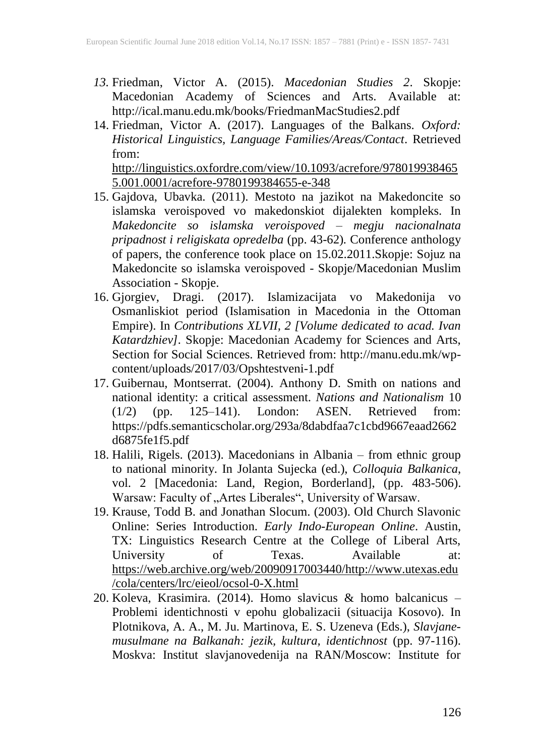- *13.* Friedman, Victor A. (2015). *Macedonian Studies 2*. Skopje: Macedonian Academy of Sciences and Arts. Available at: http://ical.manu.edu.mk/books/FriedmanMacStudies2.pdf
- 14. Friedman, Victor A. (2017). Languages of the Balkans. *Oxford: Historical Linguistics, Language Families/Areas/Contact*. Retrieved from: http://linguistics.oxfordre.com/view/10.1093/acrefore/978019938465 5.001.0001/acrefore-9780199384655-e-348
- 15. Gajdova, Ubavka. (2011). Mestoto na jazikot na Makedoncite so islamska veroispoved vo makedonskiot dijalekten kompleks. In *Makedoncite so islamska veroispoved – megju nacionalnata pripadnost i religiskata opredelba* (pp. 43-62)*.* Conference anthology of papers, the conference took place on 15.02.2011.Skopje: Sojuz na Makedoncite so islamska veroispoved - Skopje/Macedonian Muslim Association - Skopje.
- 16. Gjorgiev, Dragi. (2017). Islamizacijata vo Makedonija vo Osmanliskiot period (Islamisation in Macedonia in the Ottoman Empire). In *Contributions XLVII, 2 [Volume dedicated to acad. Ivan Katardzhiev].* Skopje: Macedonian Academy for Sciences and Arts, Section for Social Sciences. Retrieved from: http://manu.edu.mk/wpcontent/uploads/2017/03/Opshtestveni-1.pdf
- 17. Guibernau, Montserrat. (2004). Anthony D. Smith on nations and national identity: a critical assessment. *Nations and Nationalism* 10 (1/2) (pp. 125–141). London: ASEN. Retrieved from: https://pdfs.semanticscholar.org/293a/8dabdfaa7c1cbd9667eaad2662 d6875fe1f5.pdf
- 18. Halili, Rigels. (2013). Macedonians in Albania from ethnic group to national minority. In Jolanta Sujecka (ed.), *Colloquia Balkanica*, vol. 2 [Macedonia: Land, Region, Borderland], (pp. 483-506). Warsaw: Faculty of "Artes Liberales", University of Warsaw.
- 19. Krause, Todd B. and Jonathan Slocum. (2003). Old Church Slavonic Online: Series Introduction. *Early Indo-European Online*. Austin, TX: Linguistics Research Centre at the College of Liberal Arts, University of Texas. Available at: https://web.archive.org/web/20090917003440/http://www.utexas.edu /cola/centers/lrc/eieol/ocsol-0-X.html
- 20. Koleva, Krasimira. (2014). Homo slavicus & homo balcanicus Problemi identichnosti v epohu globalizacii (situacija Kosovo). In Plotnikova, A. A., M. Ju. Martinova, E. S. Uzeneva (Eds.), *Slavjanemusulmane na Balkanah: jezik, kultura, identichnost* (pp. 97-116). Moskva: Institut slavjanovedenija na RAN/Moscow: Institute for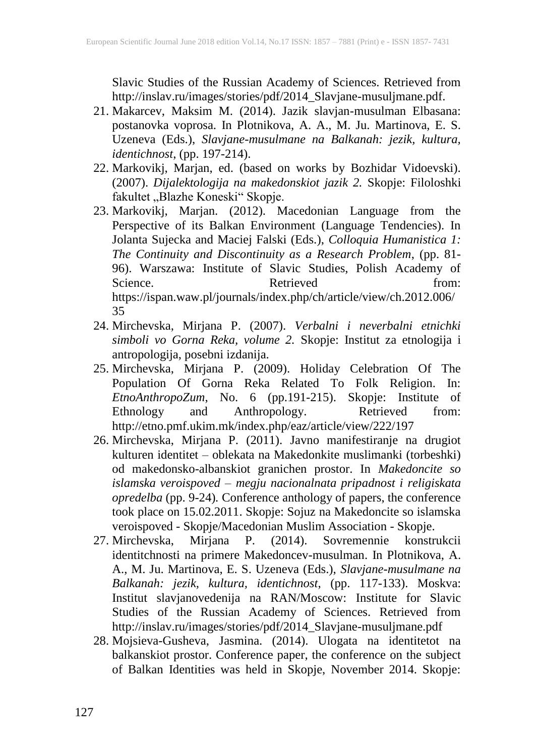Slavic Studies of the Russian Academy of Sciences. Retrieved from http://inslav.ru/images/stories/pdf/2014\_Slavjane-musuljmane.pdf.

- 21. Makarcev, Maksim M. (2014). Jazik slavjan-musulman Elbasana: postanovka voprosa. In Plotnikova, A. A., M. Ju. Martinova, E. S. Uzeneva (Eds.), *Slavjane-musulmane na Balkanah: jezik, kultura, identichnost*, (pp. 197-214).
- 22. Markovikj, Marjan, ed. (based on works by Bozhidar Vidoevski). (2007). *Dijalektologija na makedonskiot jazik 2.* Skopje: Filoloshki fakultet "Blazhe Koneski" Skopje.
- 23. Markovikj, Marjan. (2012). Macedonian Language from the Perspective of its Balkan Environment (Language Tendencies). In Jolanta Sujecka and Maciej Falski (Eds.), *Colloquia Humanistica 1: The Continuity and Discontinuity as a Research Problem*, (pp. 81- 96). Warszawa: Institute of Slavic Studies, Polish Academy of Science. Retrieved from: https://ispan.waw.pl/journals/index.php/ch/article/view/ch.2012.006/ 35
- 24. Mirchevska, Mirjana P. (2007). *Verbalni i neverbalni etnichki simboli vo Gorna Reka, volume 2.* Skopje: Institut za etnologija i antropologija, posebni izdanija.
- 25. Mirchevska, Mirjana P. (2009). Holiday Celebration Of The Population Of Gorna Reka Related To Folk Religion. In: *EtnoAnthropoZum*, No. 6 (pp.191-215). Skopje: Institute of Ethnology and Anthropology. Retrieved from: http://etno.pmf.ukim.mk/index.php/eaz/article/view/222/197
- 26. Mirchevska, Mirjana P. (2011). Javno manifestiranje na drugiot kulturen identitet – oblekata na Makedonkite muslimanki (torbeshki) od makedonsko-albanskiot granichen prostor. In *Makedoncite so islamska veroispoved – megju nacionalnata pripadnost i religiskata opredelba* (pp. 9-24)*.* Conference anthology of papers, the conference took place on 15.02.2011. Skopje: Sojuz na Makedoncite so islamska veroispoved - Skopje/Macedonian Muslim Association - Skopje.
- 27. Mirchevska, Mirjana P. (2014). Sovremennie konstrukcii identitchnosti na primere Makedoncev-musulman. In Plotnikova, A. A., M. Ju. Martinova, E. S. Uzeneva (Eds.), *Slavjane-musulmane na Balkanah: jezik, kultura, identichnost*, (pp. 117-133). Moskva: Institut slavjanovedenija na RAN/Moscow: Institute for Slavic Studies of the Russian Academy of Sciences. Retrieved from http://inslav.ru/images/stories/pdf/2014\_Slavjane-musuljmane.pdf
- 28. Mojsieva-Gusheva, Jasmina. (2014). Ulogata na identitetot na balkanskiot prostor. Conference paper, the conference on the subject of Balkan Identities was held in Skopje, November 2014. Skopje: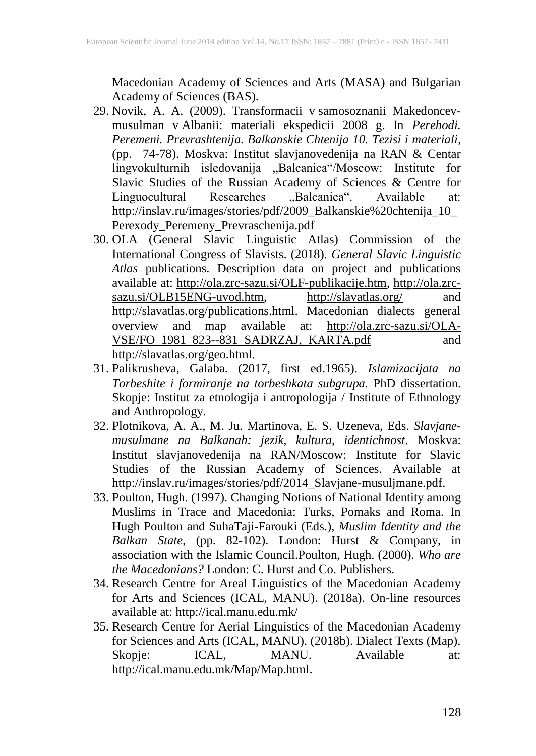Macedonian Academy of Sciences and Arts (MASA) and Bulgarian Academy of Sciences (BAS).

- 29. Novik, A. A. (2009). Transformacii v samosoznanii Makedoncevmusulman v Albanii: materiali ekspedicii 2008 g. In *Perehodi. Peremeni. Prevrashtenija. Balkanskie Chtenija 10. Tezisi i materiali*, (pp. 74-78). Moskva: Institut slavjanovedenija na RAN & Centar lingvokulturnih isledovanija "Balcanica"/Moscow: Institute for Slavic Studies of the Russian Academy of Sciences & Centre for Linguocultural Researches "Balcanica". Available at: http://inslav.ru/images/stories/pdf/2009\_Balkanskie%20chtenija\_10\_ Perexody\_Peremeny\_Prevraschenija.pdf
- 30. OLA (General Slavic Linguistic Atlas) Commission of the International Congress of Slavists. (2018). *General Slavic Linguistic Atlas* publications. Description data on project and publications available at: http://ola.zrc-sazu.si/OLF-publikacije.htm, http://ola.zrcsazu.si/OLB15ENG-uvod.htm, http://slavatlas.org/ and http://slavatlas.org/publications.html. Macedonian dialects general overview and map available at: http://ola.zrc-sazu.si/OLA-VSE/FO\_1981\_823--831\_SADRZAJ,\_KARTA.pdf and http://slavatlas.org/geo.html.
- 31. Palikrusheva, Galaba. (2017, first ed.1965). *Islamizacijata na Torbeshite i formiranje na torbeshkata subgrupa.* PhD dissertation. Skopje: Institut za etnologija i antropologija / Institute of Ethnology and Anthropology.
- 32. Plotnikova, A. A., M. Ju. Martinova, E. S. Uzeneva, Eds. *Slavjanemusulmane na Balkanah: jezik, kultura, identichnost*. Moskva: Institut slavjanovedenija na RAN/Moscow: Institute for Slavic Studies of the Russian Academy of Sciences. Available at http://inslav.ru/images/stories/pdf/2014\_Slavjane-musuljmane.pdf.
- 33. Poulton, Hugh. (1997). Changing Notions of National Identity among Muslims in Trace and Macedonia: Turks, Pomaks and Roma. In Hugh Poulton and SuhaTaji-Farouki (Eds.), *Muslim Identity and the Balkan State*, (pp. 82-102). London: Hurst & Company, in association with the Islamic Council.Poulton, Hugh. (2000). *Who are the Macedonians?* London: C. Hurst and Co. Publishers.
- 34. Research Centre for Areal Linguistics of the Macedonian Academy for Arts and Sciences (ICAL, MANU). (2018a). On-line resources available at: http://ical.manu.edu.mk/
- 35. Research Centre for Aerial Linguistics of the Macedonian Academy for Sciences and Arts (ICAL, MANU). (2018b). Dialect Texts (Map). Skopje: ICAL, MANU. Available at: http://ical.manu.edu.mk/Map/Map.html.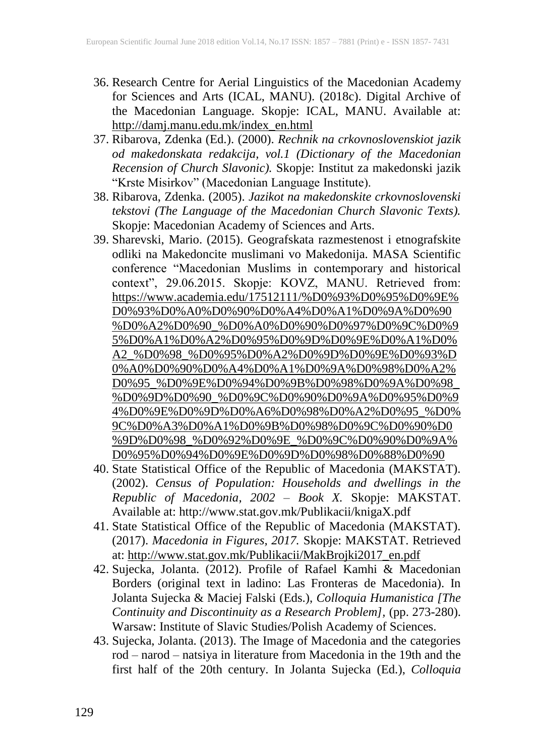- 36. Research Centre for Aerial Linguistics of the Macedonian Academy for Sciences and Arts (ICAL, MANU). (2018c). Digital Archive of the Macedonian Language. Skopje: ICAL, MANU. Available at: http://damj.manu.edu.mk/index\_en.html
- 37. Ribarova, Zdenka (Ed.). (2000). *Rechnik na crkovnoslovenskiot jazik od makedonskata redakcija, vol.1 (Dictionary of the Macedonian Recension of Church Slavonic).* Skopje: Institut za makedonski jazik "Krste Misirkov" (Macedonian Language Institute).
- 38. Ribarova, Zdenka. (2005). *Jazikot na makedonskite crkovnoslovenski tekstovi (The Language of the Macedonian Church Slavonic Texts).* Skopje: Macedonian Academy of Sciences and Arts.
- 39. Sharevski, Mario. (2015). Geografskata razmestenost i etnografskite odliki na Makedoncite muslimani vo Makedonija. MASA Scientific conference "Macedonian Muslims in contemporary and historical context", 29.06.2015. Skopje: KOVZ, MANU. Retrieved from: https://www.academia.edu/17512111/%D0%93%D0%95%D0%9E% D0%93%D0%A0%D0%90%D0%A4%D0%A1%D0%9A%D0%90 %D0%A2%D0%90\_%D0%A0%D0%90%D0%97%D0%9C%D0%9 5%D0%A1%D0%A2%D0%95%D0%9D%D0%9E%D0%A1%D0% A2\_%D0%98\_%D0%95%D0%A2%D0%9D%D0%9E%D0%93%D 0%A0%D0%90%D0%A4%D0%A1%D0%9A%D0%98%D0%A2% D0%95\_%D0%9E%D0%94%D0%9B%D0%98%D0%9A%D0%98\_ %D0%9D%D0%90\_%D0%9C%D0%90%D0%9A%D0%95%D0%9 4%D0%9E%D0%9D%D0%A6%D0%98%D0%A2%D0%95\_%D0% 9C%D0%A3%D0%A1%D0%9B%D0%98%D0%9C%D0%90%D0 %9D%D0%98\_%D0%92%D0%9E\_%D0%9C%D0%90%D0%9A% D0%95%D0%94%D0%9E%D0%9D%D0%98%D0%88%D0%90
- 40. State Statistical Office of the Republic of Macedonia (MAKSTAT). (2002). *Census of Population: Households and dwellings in the Republic of Macedonia, 2002 – Book X.* Skopje: MAKSTAT. Available at: http://www.stat.gov.mk/Publikacii/knigaX.pdf
- 41. State Statistical Office of the Republic of Macedonia (MAKSTAT). (2017). *Macedonia in Figures, 2017.* Skopje: MAKSTAT. Retrieved at: http://www.stat.gov.mk/Publikacii/MakBrojki2017\_en.pdf
- 42. Sujecka, Jolanta. (2012). Profile of Rafael Kamhi & Macedonian Borders (original text in ladino: Las Fronteras de Macedonia). In Jolanta Sujecka & Maciej Falski (Eds.), *Colloquia Humanistica [The Continuity and Discontinuity as a Research Problem],* (pp. 273-280). Warsaw: Institute of Slavic Studies/Polish Academy of Sciences.
- 43. Sujecka, Jolanta. (2013). The Image of Macedonia and the categories rod – narod – natsiya in literature from Macedonia in the 19th and the first half of the 20th century. In Jolanta Sujecka (Ed.), *Colloquia*